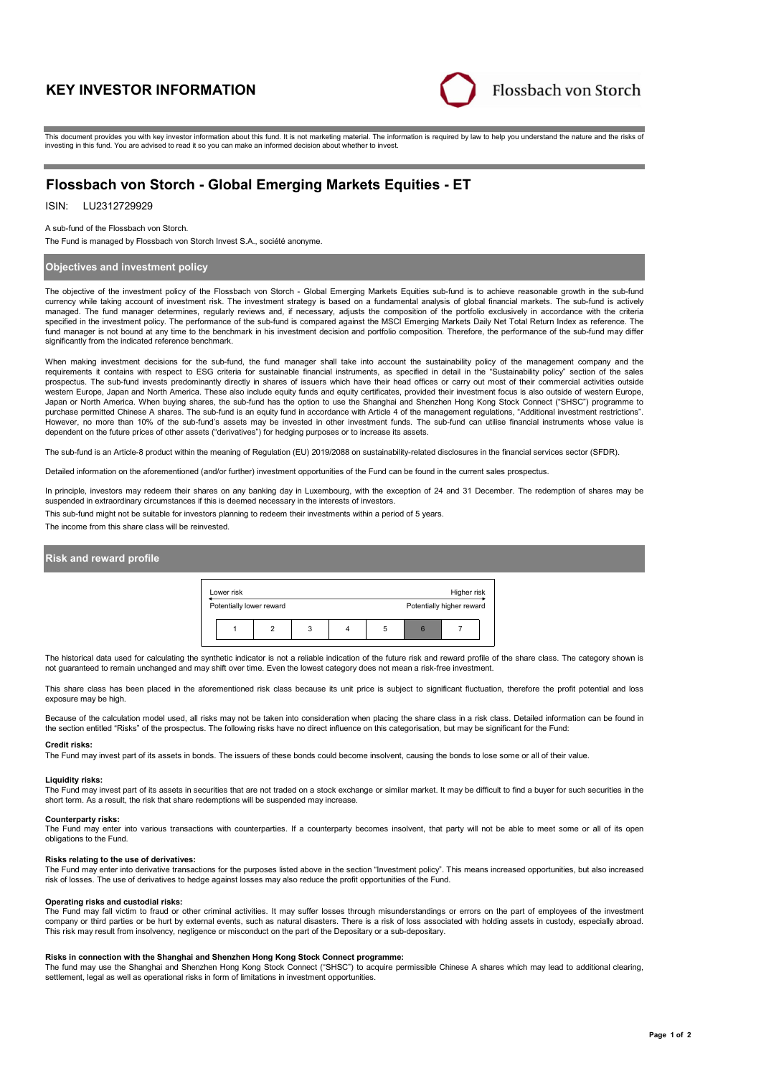# **KEY INVESTOR INFORMATION**



This document provides you with key investor information about this fund. It is not marketing material. The information is required by law to help you understand the nature and the risks of investing in this fund. You are advised to read it so you can make an informed decision about whether to invest.

# **Flossbach von Storch - Global Emerging Markets Equities - ET**

ISIN: LU2312729929

#### A sub-fund of the Flossbach von Storch.

The Fund is managed by Flossbach von Storch Invest S.A., société anonyme.

# **Objectives and investment policy**

The objective of the investment policy of the Flossbach von Storch - Global Emerging Markets Equities sub-fund is to achieve reasonable growth in the sub-fund currency while taking account of investment risk. The investment strategy is based on a fundamental analysis of global financial markets. The sub-fund is actively managed. The fund manager determines, regularly reviews and, if necessary, adjusts the composition of the portfolio exclusively in accordance with the criteria specified in the investment policy. The performance of the sub-fund is compared against the MSCI Emerging Markets Daily Net Total Return Index as reference. The fund manager is not bound at any time to the benchmark in his investment decision and portfolio composition. Therefore, the performance of the sub-fund may differ significantly from the indicated reference benchmark.

When making investment decisions for the sub-fund, the fund manager shall take into account the sustainability policy of the management company and the requirements it contains with respect to ESG criteria for sustainable financial instruments, as specified in detail in the "Sustainability policy" section of the sales prospectus. The sub-fund invests predominantly directly in shares of issuers which have their head offices or carry out most of their commercial activities outside western Europe, Japan and North America. These also include equity funds and equity certificates, provided their investment focus is also outside of western Europe, Japan or North America. When buying shares, the sub-fund has the option to use the Shanghai and Shenzhen Hong Kong Stock Connect ("SHSC") programme to purchase permitted Chinese A shares. The sub-fund is an equity fund in accordance with Article 4 of the management regulations, "Additional investment restrictions". However, no more than 10% of the sub-fund's assets may be invested in other investment funds. The sub-fund can utilise financial instruments whose value is dependent on the future prices of other assets ("derivatives") for hedging purposes or to increase its assets.

The sub-fund is an Article-8 product within the meaning of Regulation (EU) 2019/2088 on sustainability-related disclosures in the financial services sector (SFDR).

Detailed information on the aforementioned (and/or further) investment opportunities of the Fund can be found in the current sales prospectus.

In principle, investors may redeem their shares on any banking day in Luxembourg, with the exception of 24 and 31 December. The redemption of shares may be suspended in extraordinary circumstances if this is deemed necessary in the interests of investors.

This sub-fund might not be suitable for investors planning to redeem their investments within a period of 5 years.

The income from this share class will be reinvested.

# **Risk and reward profile**



The historical data used for calculating the synthetic indicator is not a reliable indication of the future risk and reward profile of the share class. The category shown is not guaranteed to remain unchanged and may shift over time. Even the lowest category does not mean a risk-free investment.

This share class has been placed in the aforementioned risk class because its unit price is subject to significant fluctuation, therefore the profit potential and loss exposure may be high.

Because of the calculation model used, all risks may not be taken into consideration when placing the share class in a risk class. Detailed information can be found in the section entitled "Risks" of the prospectus. The following risks have no direct influence on this categorisation, but may be significant for the Fund:

#### **Credit risks:**

The Fund may invest part of its assets in bonds. The issuers of these bonds could become insolvent, causing the bonds to lose some or all of their value.

#### **Liquidity risks:**

The Fund may invest part of its assets in securities that are not traded on a stock exchange or similar market. It may be difficult to find a buyer for such securities in the short term. As a result, the risk that share redemptions will be suspended may increase.

#### **Counterparty risks:**

The Fund may enter into various transactions with counterparties. If a counterparty becomes insolvent, that party will not be able to meet some or all of its open obligations to the Fund.

#### **Risks relating to the use of derivatives:**

The Fund may enter into derivative transactions for the purposes listed above in the section "Investment policy". This means increased opportunities, but also increased<br>risk of losses. The use of derivatives to hedge again

#### **Operating risks and custodial risks:**

The Fund may fall victim to fraud or other criminal activities. It may suffer losses through misunderstandings or errors on the part of employees of the investment company or third parties or be hurt by external events, such as natural disasters. There is a risk of loss associated with holding assets in custody, especially abroad. This risk may result from insolvency, negligence or misconduct on the part of the Depositary or a sub-depositary.

### **Risks in connection with the Shanghai and Shenzhen Hong Kong Stock Connect programme:**

The fund may use the Shanghai and Shenzhen Hong Kong Stock Connect ("SHSC") to acquire permissible Chinese A shares which may lead to additional clearing, settlement, legal as well as operational risks in form of limitations in investment opportunities.